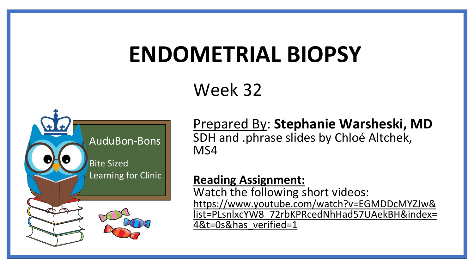# **ENDOMETRIAL BIOPSY**

## Week 32



Prepared By: **Stephanie Warsheski, MD** SDH and .phrase slides by Chloé Altchek, MS4

#### **Reading Assignment:**

Watch the following short videos: https://www.youtube.com/watch?v=EGMDDcMYZJw& [list=PLsnlxcYW8\\_72rbKPRcedNhHad57UAekBH&index=](https://www.youtube.com/watch?v=EGMDDcMYZJw&list=PLsnlxcYW8_72rbKPRcedNhHad57UAekBH&index=4&t=0s&has_verified=1) 4&t=0s&has\_verified=1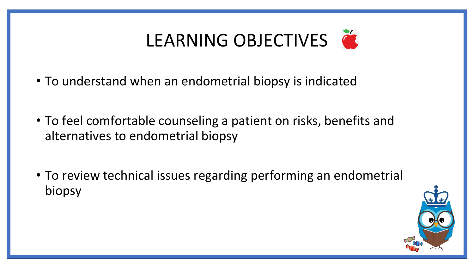# LEARNING OBJECTIVES

- To understand when an endometrial biopsy is indicated
- To feel comfortable counseling a patient on risks, benefits and alternatives to endometrial biopsy
- To review technical issues regarding performing an endometrial biopsy

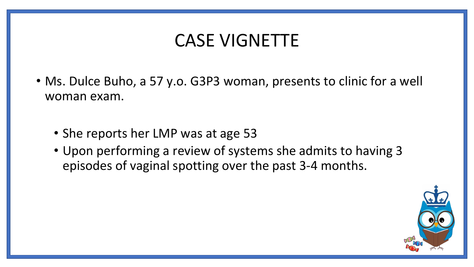### CASE VIGNETTE

- Ms. Dulce Buho, a 57 y.o. G3P3 woman, presents to clinic for a well woman exam.
	- She reports her LMP was at age 53
	- Upon performing a review of systems she admits to having 3 episodes of vaginal spotting over the past 3-4 months.

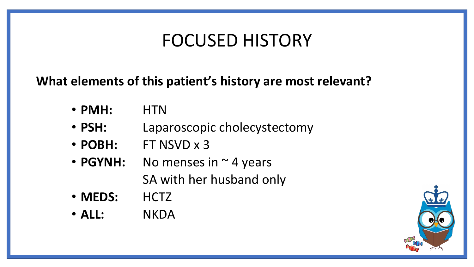### FOCUSED HISTORY

### **What elements of this patient's history are most relevant?**

- **PMH:** HTN
- **PSH:** Laparoscopic cholecystectomy
- **POBH:** FT NSVD x 3
- **PGYNH:** No menses in  $\sim$  4 years SA with her husband only
- **MEDS:** HCTZ
- **ALL:** NKDA

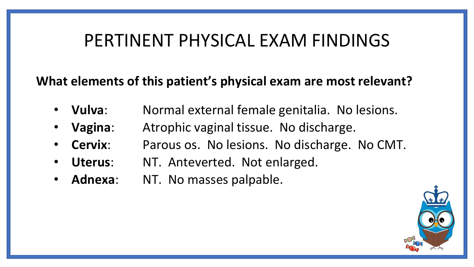### PERTINENT PHYSICAL EXAM FINDINGS

**What elements of this patient's physical exam are most relevant?**

- **Vulva**: Normal external female genitalia. No lesions.
- **Vagina**: Atrophic vaginal tissue. No discharge.
- **Cervix**: Parous os. No lesions. No discharge. No CMT.
- Uterus: NT. Anteverted. Not enlarged.
- Adnexa: NT. No masses palpable.

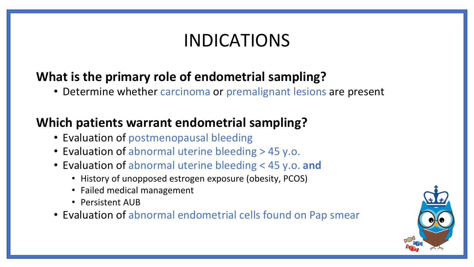### INDICATIONS

### **What is the primary role of endometrial sampling?**

• Determine whether carcinoma or premalignant lesions are present

### **Which patients warrant endometrial sampling?**

- Evaluation of postmenopausal bleeding
- Evaluation of abnormal uterine bleeding > 45 y.o.
- Evaluation of abnormal uterine bleeding < 45 y.o. **and**
	- History of unopposed estrogen exposure (obesity, PCOS)
	- Failed medical management
	- Persistent AUB
- Evaluation of abnormal endometrial cells found on Pap smear

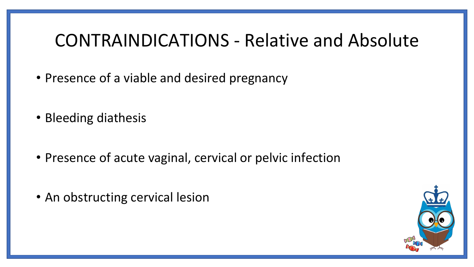### CONTRAINDICATIONS - Relative and Absolute

- Presence of a viable and desired pregnancy
- Bleeding diathesis
- Presence of acute vaginal, cervical or pelvic infection
- An obstructing cervical lesion

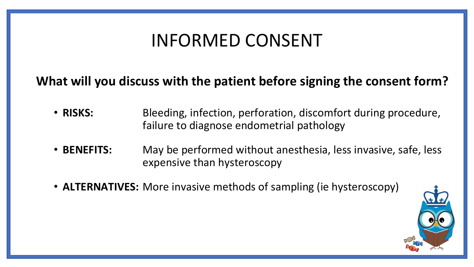### INFORMED CONSENT

### **What will you discuss with the patient before signing the consent form?**

- **RISKS:** Bleeding, infection, perforation, discomfort during procedure, failure to diagnose endometrial pathology
- **BENEFITS:** May be performed without anesthesia, less invasive, safe, less expensive than hysteroscopy
- **ALTERNATIVES:** More invasive methods of sampling (ie hysteroscopy)

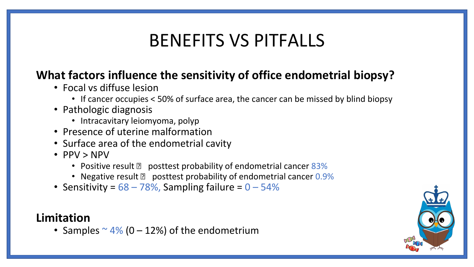### BENEFITS VS PITFALLS

### **What factors influence the sensitivity of office endometrial biopsy?**

- Focal vs diffuse lesion
	- If cancer occupies < 50% of surface area, the cancer can be missed by blind biopsy
- Pathologic diagnosis
	- Intracavitary leiomyoma, polyp
- Presence of uterine malformation
- Surface area of the endometrial cavity
- PPV > NPV
	- Positive result **P** posttest probability of endometrial cancer  $83\%$
	- Negative result  $\sqrt{2}$  posttest probability of endometrial cancer 0.9%
- Sensitivity =  $68 78%$ , Sampling failure =  $0 54%$

#### **Limitation**

• Samples  $\sim$  4% (0 – 12%) of the endometrium

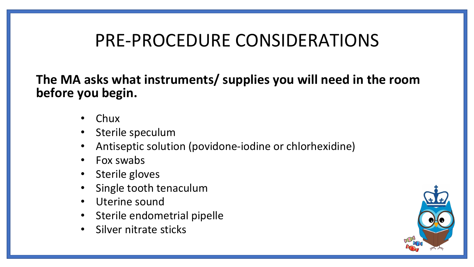### PRE-PROCEDURE CONSIDERATIONS

**The MA asks what instruments/ supplies you will need in the room before you begin.**

- Chux
- Sterile speculum
- Antiseptic solution (povidone-iodine or chlorhexidine)
- Fox swabs
- Sterile gloves
- Single tooth tenaculum
- Uterine sound
- Sterile endometrial pipelle
- Silver nitrate sticks

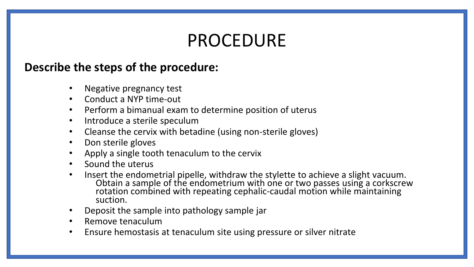### PROCEDURE

#### **Describe the steps of the procedure:**

- Negative pregnancy test
- Conduct a NYP time-out
- Perform a bimanual exam to determine position of uterus
- Introduce a sterile speculum
- Cleanse the cervix with betadine (using non-sterile gloves)
- Don sterile gloves
- Apply a single tooth tenaculum to the cervix
- Sound the uterus
- Insert the endometrial pipelle, withdraw the stylette to achieve a slight vacuum. Obtain a sample of the endometrium with one or two passes using a corkscrew rotation combined with repeating cephalic-caudal motion while maintaining suction.
- Deposit the sample into pathology sample jar
- Remove tenaculum
- Ensure hemostasis at tenaculum site using pressure or silver nitrate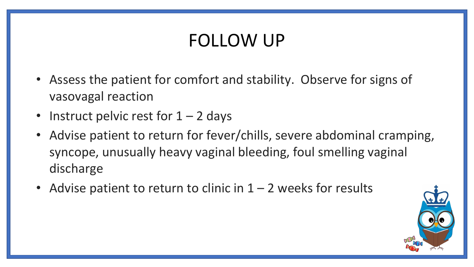## FOLLOW UP

- Assess the patient for comfort and stability. Observe for signs of vasovagal reaction
- Instruct pelvic rest for  $1 2$  days
- Advise patient to return for fever/chills, severe abdominal cramping, syncope, unusually heavy vaginal bleeding, foul smelling vaginal discharge
- Advise patient to return to clinic in  $1 2$  weeks for results

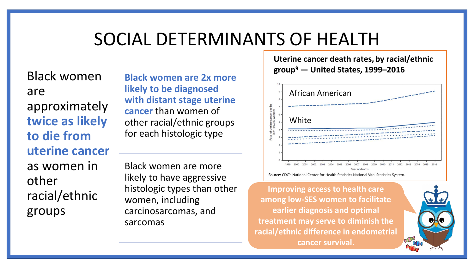### SOCIAL DETERMINANTS OF HEALTH

Black women are approximately **twice as likely to die from uterine cancer**  as women in other racial/ethnic groups

**Black women are 2x more likely to be diagnosed with distant stage uterine cancer** than women of other racial/ethnic groups for each histologic type

Black women are more likely to have aggressive histologic types than other women, including carcinosarcomas, and sarcomas

**Uterine cancer death rates, by racial/ethnic group§ — United States, 1999–2016**



**Improving access to health care among low-SES women to facilitate earlier diagnosis and optimal treatment may serve to diminish the racial/ethnic difference in endometrial cancer survival.**

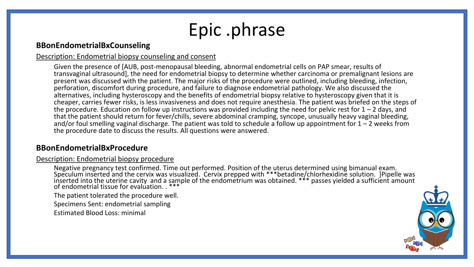## Epic .phrase

#### **BBonEndometrialBxCounseling**

#### Description: Endometrial biopsy counseling and consent

Given the presence of [AUB, post-menopausal bleeding, abnormal endometrial cells on PAP smear, results of transvaginal ultrasound], the need for endometrial biopsy to determine whether carcinoma or premalignant lesions are present was discussed with the patient. The major risks of the procedure were outlined, including bleeding, infection, perforation, discomfort during procedure, and failure to diagnose endometrial pathology. We also discussed the alternatives, including hysteroscopy and the benefits of endometrial biopsy relative to hysteroscopy given that it is cheaper, carries fewer risks, is less invasiveness and does not require anesthesia. The patient was briefed on the steps of the procedure. Education on follow up instructions was provided including the need for pelvic rest for  $1 - 2$  days, and that the patient should return for fever/chills, severe abdominal cramping, syncope, unusually heavy vaginal bleeding, and/or foul smelling vaginal discharge. The patient was told to schedule a follow up appointment for  $1 - 2$  weeks from the procedure date to discuss the results. All questions were answered.

#### **BBonEndometrialBxProcedure**

#### Description: Endometrial biopsy procedure

Negative pregnancy test confirmed. Time out performed. Position of the uterus determined using bimanual exam. Speculum inserted and the cervix was visualized. Cervix prepped with \*\*\*betadine/chlorhexidine solution. ]Pipelle was inserted into the uterine cavity and a sample of the endometrium was obtained. \*\*\* passes yielded a sufficient amount of endometrial tissue for evalúation. . \*\*\*

The patient tolerated the procedure well.

Specimens Sent: endometrial sampling

Estimated Blood Loss: minimal

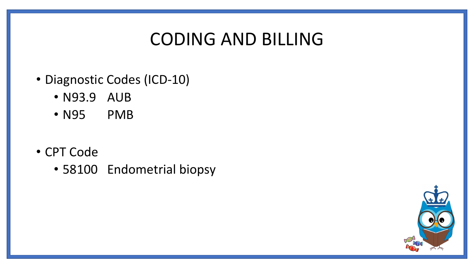### CODING AND BILLING

- Diagnostic Codes (ICD-10)
	- N93.9 AUB
	- N95 PMB
- CPT Code
	- 58100 Endometrial biopsy